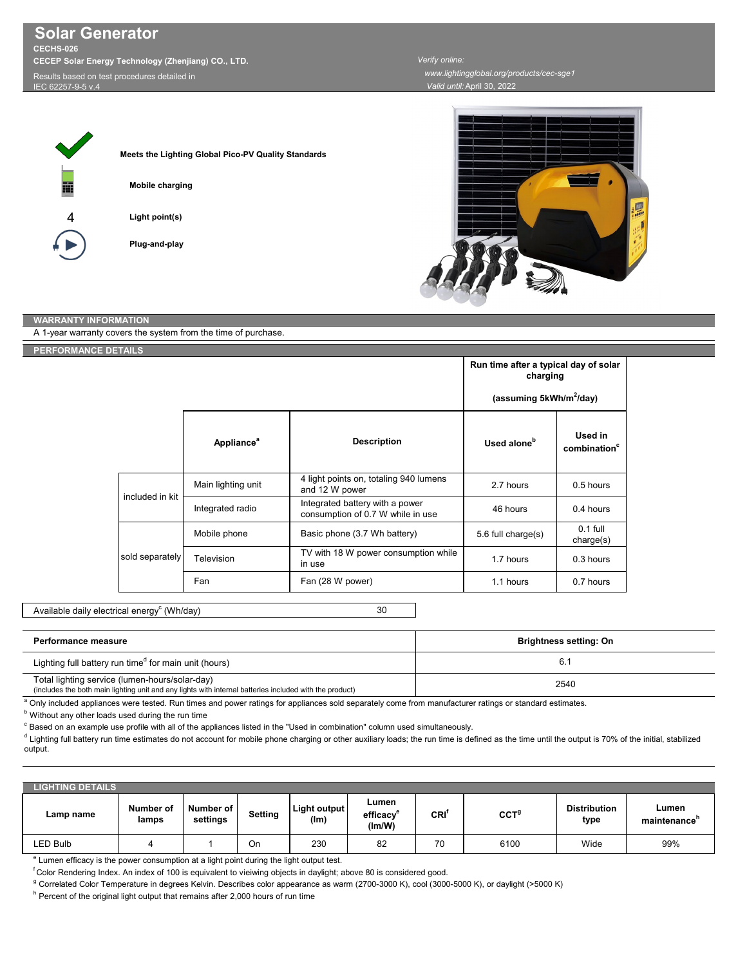IEC 62257-9-5 v

| Meets the Lighting Global Pico-PV Quality Standards |
|-----------------------------------------------------|
| <b>Mobile charging</b>                              |
| Light point(s)                                      |
| Plug-and-play                                       |





## **WARRANTY INFORMATION**

| A 1-year warranty covers the system from the time of purchase. |                               |                                                                      |                                                   |                                     |  |
|----------------------------------------------------------------|-------------------------------|----------------------------------------------------------------------|---------------------------------------------------|-------------------------------------|--|
| PERFORMANCE DETAILS                                            |                               |                                                                      |                                                   |                                     |  |
|                                                                |                               |                                                                      | Run time after a typical day of solar<br>charging |                                     |  |
|                                                                |                               |                                                                      | (assuming 5kWh/m <sup>2</sup> /day)               |                                     |  |
|                                                                | <b>Appliance</b> <sup>a</sup> | <b>Description</b>                                                   | Used alone <sup>b</sup>                           | Used in<br>combination <sup>c</sup> |  |
| included in kit                                                | Main lighting unit            | 4 light points on, totaling 940 lumens<br>and 12 W power             | 2.7 hours                                         | 0.5 hours                           |  |
|                                                                | Integrated radio              | Integrated battery with a power<br>consumption of 0.7 W while in use | 46 hours                                          | 0.4 hours                           |  |
|                                                                | Mobile phone                  | Basic phone (3.7 Wh battery)                                         | 5.6 full charge(s)                                | $0.1$ full<br>charge(s)             |  |
| sold separately                                                | Television                    | TV with 18 W power consumption while<br>in use                       | 1.7 hours                                         | 0.3 hours                           |  |
|                                                                | Fan                           | Fan (28 W power)                                                     | 1.1 hours                                         | 0.7 hours                           |  |

30 Available daily electrical energy $^{\rm c}$  (Wh/day)

| <b>Performance measure</b>                                                                                                                                | <b>Brightness setting: On</b> |
|-----------------------------------------------------------------------------------------------------------------------------------------------------------|-------------------------------|
| Lighting full battery run time <sup>d</sup> for main unit (hours)                                                                                         |                               |
| Total lighting service (lumen-hours/solar-day)<br>(includes the both main lighting unit and any lights with internal batteries included with the product) | 2540                          |

a Only included appliances were tested. Run times and power ratings for appliances sold separately come from manufacturer ratings or standard estimates.

**b** Without any other loads used during the run time

 $\degree$  Based on an example use profile with all of the appliances listed in the "Used in combination" column used simultaneously.

d Lighting full battery run time estimates do not account for mobile phone charging or other auxiliary loads; the run time is defined as the time until the output is 70% of the initial, stabilized output.

| <b>LIGHTING DETAILS</b> |                    |                       |         |                             |                             |      |                  |                             |                       |
|-------------------------|--------------------|-----------------------|---------|-----------------------------|-----------------------------|------|------------------|-----------------------------|-----------------------|
| Lamp name               | Number of<br>lamps | Number of<br>settings | Setting | <b>Light output</b><br>(lm) | Lumen<br>efficacv<br>(lm/W) | CRI' | $\mathtt{CCT}^9$ | <b>Distribution</b><br>type | Lumen<br>maintenance' |
| LED Bulb                | ∸                  |                       | On      | 230                         | 82                          | 70   | 6100             | Wide                        | 99%                   |

<sup>e</sup> Lumen efficacy is the power consumption at a light point during the light output test.

 ${}^{\text{f}}$ Color Rendering Index. An index of 100 is equivalent to vieiwing objects in daylight; above 80 is considered good.

<sup>g</sup> Correlated Color Temperature in degrees Kelvin. Describes color appearance as warm (2700-3000 K), <sub>c</sub>ool (3000-5000 K), or daylight (>5000 K)

<sup>h</sup> Percent of the original light output that remains after 2,000 hours of run time